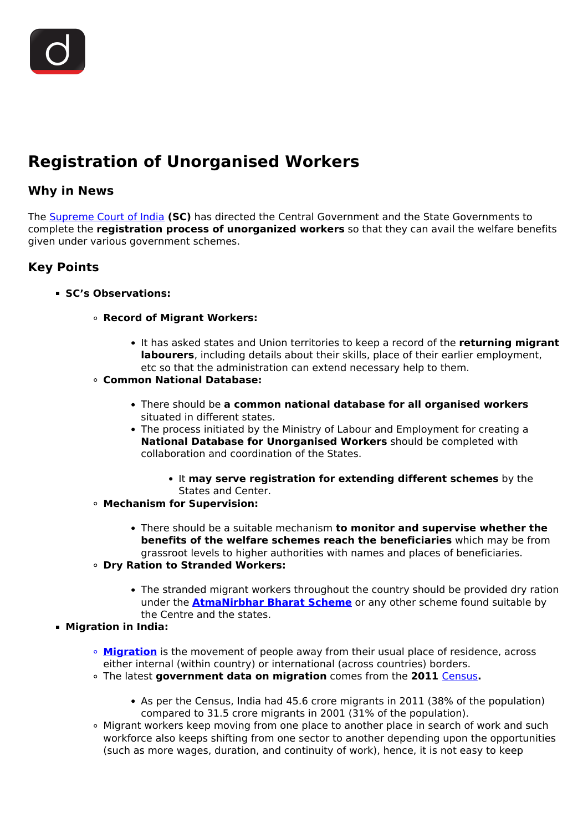## **Registration of Unorganised Workers**

## **Why in News**

The [Supreme Court of India](/important-institutions/drishti-specials-important-institutions-national-institutions/supreme-court-of-india) **(SC)** has directed the Central Government and the State Governments to complete the **registration process of unorganized workers** so that they can avail the welfare benefits given under various government schemes.

## **Key Points**

- **SC's Observations:**
	- **Record of Migrant Workers:**
		- It has asked states and Union territories to keep a record of the **returning migrant labourers**, including details about their skills, place of their earlier employment, etc so that the administration can extend necessary help to them.
	- **Common National Database:**
		- There should be **a common national database for all organised workers** situated in different states.
		- The process initiated by the Ministry of Labour and Employment for creating a **National Database for Unorganised Workers** should be completed with collaboration and coordination of the States.
			- It **may serve registration for extending different schemes** by the States and Center.
	- **Mechanism for Supervision:**
		- There should be a suitable mechanism **to monitor and supervise whether the benefits of the welfare schemes reach the beneficiaries** which may be from grassroot levels to higher authorities with names and places of beneficiaries.
	- **Dry Ration to Stranded Workers:**
		- The stranded migrant workers throughout the country should be provided dry ration under the **[AtmaNirbhar Bharat Scheme](/daily-updates/daily-news-analysis/covid-19-economic-relief-package)** or any other scheme found suitable by the Centre and the states.
- **Migration in India:**
	- **[Migration](/to-the-points/paper1/human-migration-in-india)** is the movement of people away from their usual place of residence, across either internal (within country) or international (across countries) borders.
	- The latest **government data on migration** comes from the **2011** [Census](/daily-updates/daily-news-analysis/census-2021)**.**
		- As per the Census, India had 45.6 crore migrants in 2011 (38% of the population) compared to 31.5 crore migrants in 2001 (31% of the population).
	- Migrant workers keep moving from one place to another place in search of work and such workforce also keeps shifting from one sector to another depending upon the opportunities (such as more wages, duration, and continuity of work), hence, it is not easy to keep